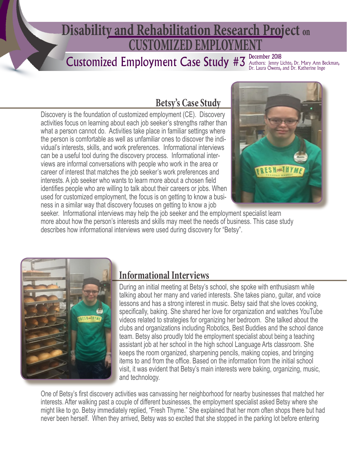# **CUSTOMIZED EMPLO Disability and Rehabilitation Research Project on**

# Customized Employment Case Study #3

December 2018 Authors: Jenny Lichte, Dr. Mary Ann Beckman,<br>Dr. Laura Owens, and Dr. Katherine Inge

# **Betsy's Case Study**

Discovery is the foundation of customized employment (CE). Discovery activities focus on learning about each job seeker's strengths rather than what a person cannot do. Activities take place in familiar settings where the person is comfortable as well as unfamiliar ones to discover the individual's interests, skills, and work preferences. Informational interviews can be a useful tool during the discovery process. Informational interviews are informal conversations with people who work in the area or career of interest that matches the job seeker's work preferences and interests. A job seeker who wants to learn more about a chosen field identifies people who are willing to talk about their careers or jobs. When used for customized employment, the focus is on getting to know a business in a similar way that discovery focuses on getting to know a job



seeker. Informational interviews may help the job seeker and the employment specialist learn more about how the person's interests and skills may meet the needs of business. This case study describes how informational interviews were used during discovery for "Betsy".



#### **Informational Interviews**

 During an initial meeting at Betsy's school, she spoke with enthusiasm while talking about her many and varied interests. She takes piano, guitar, and voice lessons and has a strong interest in music. Betsy said that she loves cooking, specifically, baking. She shared her love for organization and watches YouTube videos related to strategies for organizing her bedroom. She talked about the clubs and organizations including Robotics, Best Buddies and the school dance team. Betsy also proudly told the employment specialist about being a teaching assistant job at her school in the high school Language Arts classroom. She keeps the room organized, sharpening pencils, making copies, and bringing items to and from the office. Based on the information from the initial school visit, it was evident that Betsy's main interests were baking, organizing, music, and technology.

One of Betsy's first discovery activities was canvassing her neighborhood for nearby businesses that matched her interests. After walking past a couple of different businesses, the employment specialist asked Betsy where she might like to go. Betsy immediately replied, "Fresh Thyme." She explained that her mom often shops there but had never been herself. When they arrived, Betsy was so excited that she stopped in the parking lot before entering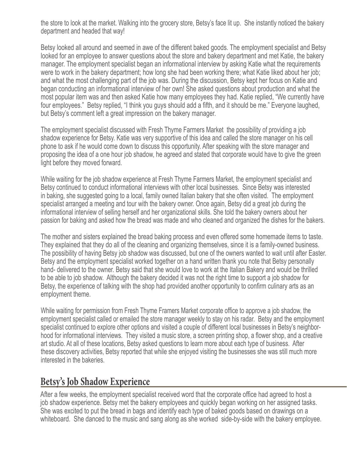the store to look at the market. Walking into the grocery store, Betsy's face lit up. She instantly noticed the bakery department and headed that way!

Betsy looked all around and seemed in awe of the different baked goods. The employment specialist and Betsy looked for an employee to answer questions about the store and bakery department and met Katie, the bakery manager. The employment specialist began an informational interview by asking Katie what the requirements were to work in the bakery department; how long she had been working there; what Katie liked about her job; and what the most challenging part of the job was. During the discussion, Betsy kept her focus on Katie and began conducting an informational interview of her own! She asked questions about production and what the most popular item was and then asked Katie how many employees they had. Katie replied, "We currently have four employees." Betsy replied, "I think you guys should add a fifth, and it should be me." Everyone laughed, but Betsy's comment left a great impression on the bakery manager.

The employment specialist discussed with Fresh Thyme Farmers Market the possibility of providing a job shadow experience for Betsy. Katie was very supportive of this idea and called the store manager on his cell phone to ask if he would come down to discuss this opportunity. After speaking with the store manager and proposing the idea of a one hour job shadow, he agreed and stated that corporate would have to give the green light before they moved forward.

While waiting for the job shadow experience at Fresh Thyme Farmers Market, the employment specialist and Betsy continued to conduct informational interviews with other local businesses. Since Betsy was interested in baking, she suggested going to a local, family owned Italian bakery that she often visited. The employment specialist arranged a meeting and tour with the bakery owner. Once again, Betsy did a great job during the informational interview of selling herself and her organizational skills. She told the bakery owners about her passion for baking and asked how the bread was made and who cleaned and organized the dishes for the bakers.

The mother and sisters explained the bread baking process and even offered some homemade items to taste. They explained that they do all of the cleaning and organizing themselves, since it is a family-owned business. The possibility of having Betsy job shadow was discussed, but one of the owners wanted to wait until after Easter. Betsy and the employment specialist worked together on a hand written thank you note that Betsy personally hand- delivered to the owner. Betsy said that she would love to work at the Italian Bakery and would be thrilled to be able to job shadow. Although the bakery decided it was not the right time to support a job shadow for Betsy, the experience of talking with the shop had provided another opportunity to confirm culinary arts as an employment theme.

While waiting for permission from Fresh Thyme Framers Market corporate office to approve a job shadow, the employment specialist called or emailed the store manager weekly to stay on his radar. Betsy and the employment specialist continued to explore other options and visited a couple of different local businesses in Betsy's neighborhood for informational interviews. They visited a music store, a screen printing shop, a flower shop, and a creative art studio. At all of these locations, Betsy asked questions to learn more about each type of business. After these discovery activities, Betsy reported that while she enjoyed visiting the businesses she was still much more interested in the bakeries.

#### **Betsy's Job Shadow Experience**

After a few weeks, the employment specialist received word that the corporate office had agreed to host a job shadow experience. Betsy met the bakery employees and quickly began working on her assigned tasks. She was excited to put the bread in bags and identify each type of baked goods based on drawings on a whiteboard. She danced to the music and sang along as she worked side-by-side with the bakery employee.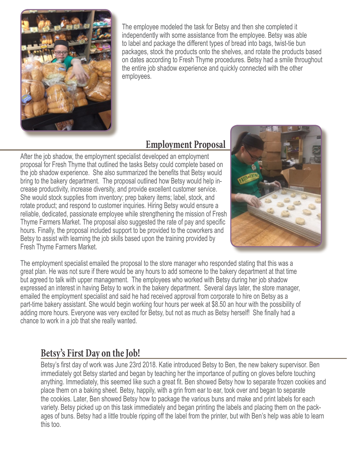

 The employee modeled the task for Betsy and then she completed it independently with some assistance from the employee. Betsy was able to label and package the different types of bread into bags, twist-tie bun packages, stock the products onto the shelves, and rotate the products based on dates according to Fresh Thyme procedures. Betsy had a smile throughout the entire job shadow experience and quickly connected with the other employees.

#### **Employment Proposal**

After the job shadow, the employment specialist developed an employment proposal for Fresh Thyme that outlined the tasks Betsy could complete based on the job shadow experience. She also summarized the benefits that Betsy would bring to the bakery department. The proposal outlined how Betsy would help increase productivity, increase diversity, and provide excellent customer service. She would stock supplies from inventory; prep bakery items; label, stock, and rotate product; and respond to customer inquiries. Hiring Betsy would ensure a reliable, dedicated, passionate employee while strengthening the mission of Fresh Thyme Farmers Market. The proposal also suggested the rate of pay and specific hours. Finally, the proposal included support to be provided to the coworkers and Betsy to assist with learning the job skills based upon the training provided by Fresh Thyme Farmers Market.



The employment specialist emailed the proposal to the store manager who responded stating that this was a great plan. He was not sure if there would be any hours to add someone to the bakery department at that time but agreed to talk with upper management. The employees who worked with Betsy during her job shadow expressed an interest in having Betsy to work in the bakery department. Several days later, the store manager, emailed the employment specialist and said he had received approval from corporate to hire on Betsy as a part-time bakery assistant. She would begin working four hours per week at \$8.50 an hour with the possibility of adding more hours. Everyone was very excited for Betsy, but not as much as Betsy herself! She finally had a chance to work in a job that she really wanted.

# **Betsy's First Day on the Job!**

Betsy's first day of work was June 23rd 2018. Katie introduced Betsy to Ben, the new bakery supervisor. Ben immediately got Betsy started and began by teaching her the importance of putting on gloves before touching anything. Immediately, this seemed like such a great fit. Ben showed Betsy how to separate frozen cookies and place them on a baking sheet. Betsy, happily, with a grin from ear to ear, took over and began to separate the cookies. Later, Ben showed Betsy how to package the various buns and make and print labels for each variety. Betsy picked up on this task immediately and began printing the labels and placing them on the packages of buns. Betsy had a little trouble ripping off the label from the printer, but with Ben's help was able to learn this too.